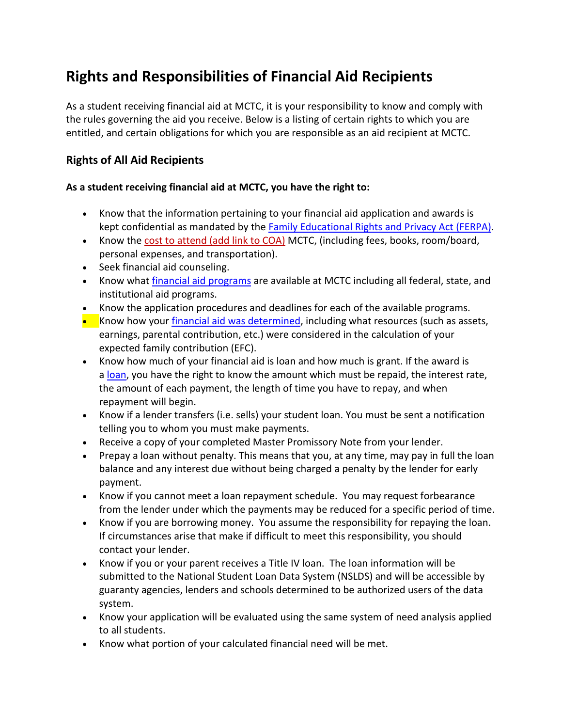# **Rights and Responsibilities of Financial Aid Recipients**

As a student receiving financial aid at MCTC, it is your responsibility to know and comply with the rules governing the aid you receive. Below is a listing of certain rights to which you are entitled, and certain obligations for which you are responsible as an aid recipient at MCTC.

## **Rights of All Aid Recipients**

#### **As a student receiving financial aid at MCTC, you have the right to:**

- Know that the information pertaining to your financial aid application and awards is kept confidential as mandated by the [Family Educational Rights and Privacy Act \(FERPA\).](https://kctcs.edu/current-students/academic-regulations/ferpa/index.aspx)
- Know the cost to attend (add link to COA) MCTC, (including fees, books, room/board, personal expenses, and transportation).
- Seek financial aid counseling.
- Know what *[financial aid programs](https://maysville.kctcs.edu/affording-college/paying-for-college/index.aspx)* are available at MCTC including all federal, state, and institutional aid programs.
- Know the application procedures and deadlines for each of the available programs.
- Know how your [financial aid was determined,](https://maysville.kctcs.edu/affording-college/paying-for-college/index.aspx) including what resources (such as assets, earnings, parental contribution, etc.) were considered in the calculation of your expected family contribution (EFC).
- Know how much of your financial aid is loan and how much is grant. If the award is a [loan,](https://elizabethtown.kctcs.edu/affording-college/paying-for-college/loans.aspx) you have the right to know the amount which must be repaid, the interest rate, the amount of each payment, the length of time you have to repay, and when repayment will begin.
- Know if a lender transfers (i.e. sells) your student loan. You must be sent a notification telling you to whom you must make payments.
- Receive a copy of your completed Master Promissory Note from your lender.
- Prepay a loan without penalty. This means that you, at any time, may pay in full the loan balance and any interest due without being charged a penalty by the lender for early payment.
- Know if you cannot meet a loan repayment schedule. You may request forbearance from the lender under which the payments may be reduced for a specific period of time.
- Know if you are borrowing money. You assume the responsibility for repaying the loan. If circumstances arise that make if difficult to meet this responsibility, you should contact your lender.
- Know if you or your parent receives a Title IV loan. The loan information will be submitted to the National Student Loan Data System (NSLDS) and will be accessible by guaranty agencies, lenders and schools determined to be authorized users of the data system.
- Know your application will be evaluated using the same system of need analysis applied to all students.
- Know what portion of your calculated financial need will be met.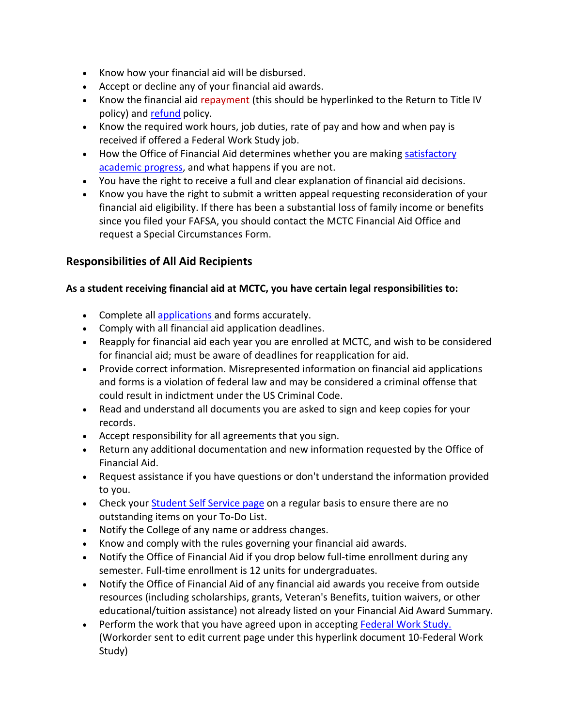- Know how your financial aid will be disbursed.
- Accept or decline any of your financial aid awards.
- Know the financial aid repayment (this should be hyperlinked to the Return to Title IV policy) and [refund](https://maysville.kctcs.edu/affording-college/paying-for-college/refunds.aspx) policy.
- Know the required work hours, job duties, rate of pay and how and when pay is received if offered a Federal Work Study job.
- How the Office of Financial Aid determines whether you are making satisfactory [academic progress,](https://maysville.kctcs.edu/affording-college/satisfactory-academic-progress/index.aspx) and what happens if you are not.
- You have the right to receive a full and clear explanation of financial aid decisions.
- Know you have the right to submit a written appeal requesting reconsideration of your financial aid eligibility. If there has been a substantial loss of family income or benefits since you filed your FAFSA, you should contact the MCTC Financial Aid Office and request a Special Circumstances Form.

## **Responsibilities of All Aid Recipients**

#### **As a student receiving financial aid at MCTC, you have certain legal responsibilities to:**

- Complete all [applications](https://maysville.kctcs.edu/affording-college/paying-for-college/index.aspx) and forms accurately.
- Comply with all financial aid application deadlines.
- Reapply for financial aid each year you are enrolled at MCTC, and wish to be considered for financial aid; must be aware of deadlines for reapplication for aid.
- Provide correct information. Misrepresented information on financial aid applications and forms is a violation of federal law and may be considered a criminal offense that could result in indictment under the US Criminal Code.
- Read and understand all documents you are asked to sign and keep copies for your records.
- Accept responsibility for all agreements that you sign.
- Return any additional documentation and new information requested by the Office of Financial Aid.
- Request assistance if you have questions or don't understand the information provided to you.
- Check your [Student Self Service page](https://maysville.kctcs.edu/current-students/index.aspx) on a regular basis to ensure there are no outstanding items on your To-Do List.
- Notify the College of any name or address changes.
- Know and comply with the rules governing your financial aid awards.
- Notify the Office of Financial Aid if you drop below full-time enrollment during any semester. Full-time enrollment is 12 units for undergraduates.
- Notify the Office of Financial Aid of any financial aid awards you receive from outside resources (including scholarships, grants, Veteran's Benefits, tuition waivers, or other educational/tuition assistance) not already listed on your Financial Aid Award Summary.
- Perform the work that you have agreed upon in accepting [Federal Work Study.](https://maysville.kctcs.edu/affording-college/paying-for-college/work-study.aspx)  (Workorder sent to edit current page under this hyperlink document 10-Federal Work Study)